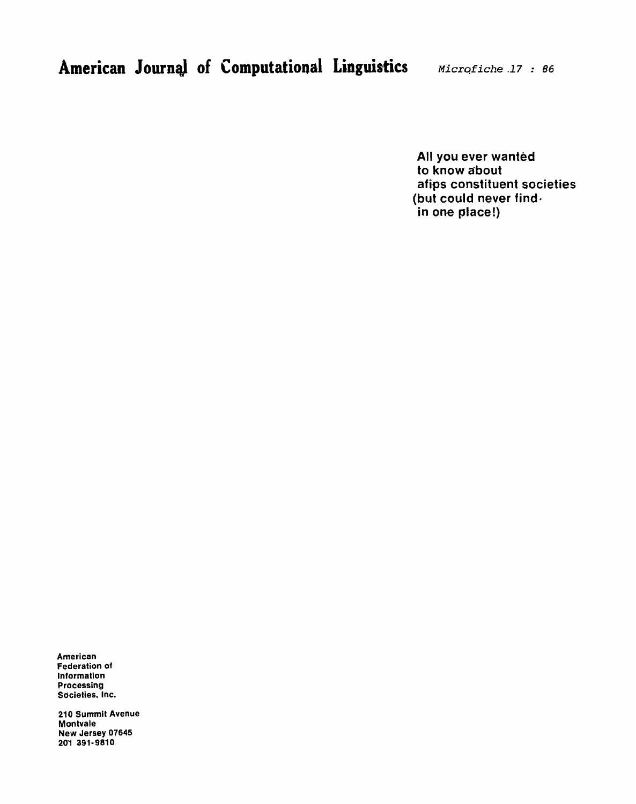**All you ever wanted to know about afips constituent societies (but could never find. in one place!)** 

**American Federation of Information Processing Societies. Inc.** 

**210 Summit Avenue Montvale New Jersey 07645 2M 391-9810**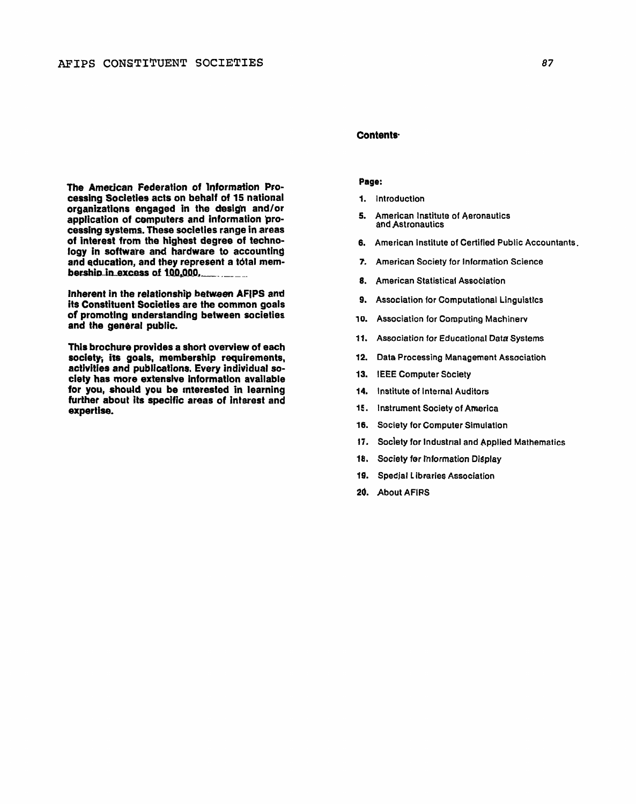The American Federation of Information Processing Societies acts on behalf of 15 national organizations engaged in the design and/or application of computers and information processing systems. These societies range in areas of interest from the highest degree of technology in software and hardware to accounting and education, and they represent a total mem-

Inherent in the relationship between AFIPS and its Constituent Societies are the common goals of promoting understanding between societies and the general public.

bership in excess of 100,000,

This brochure provides a short overview of each society, its goals, membership requirements, activities and publications. Every individual society has more extensive information available for you, should you be interested in learning further about its specific areas of interest and expertise.

# Contents<sup>.</sup>

# Page:

- 1. Introduction
- 5. American Institute of Aeronautics and Astronautics
- 6. American Institute of Certified Public Accountants.
- 7. American Society for Information Science
- 8. American Statistical Association
- 9. Association for Computational Linguistics
- 10. **Association for Computing Machinerv**
- 11. Association for Educational Data Systems
- 12. Data Processing Management Association
- 13. IEEE Computer Society
- 14. Institute of Internal Auditors
- 15. Instrument Society of America
- 16. Society for Computer Simulation
- 17. Society for Industrial and Applied Mathematics
- 18. Society for Information Display
- 19. Specjal Libraries Association
- 20. About AFIRS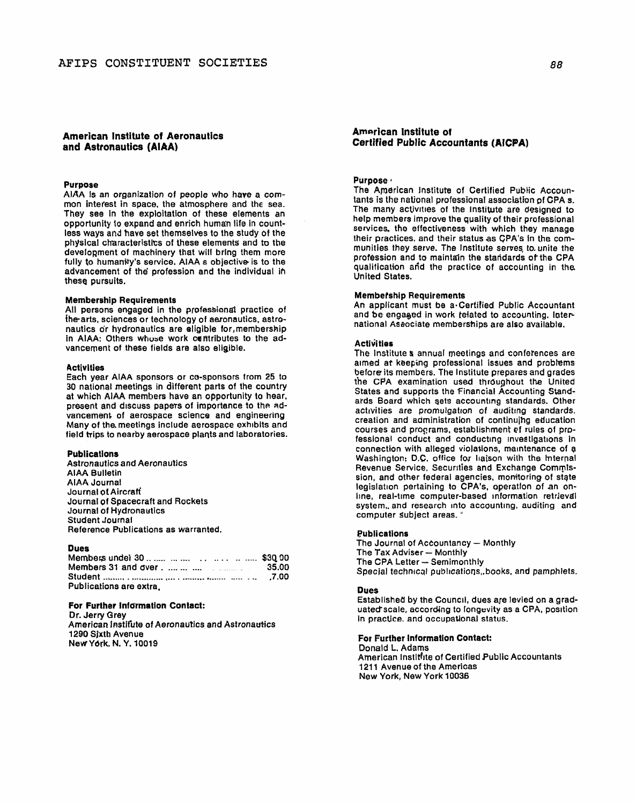# **American Institute of Aeronautics and Astronautics (AIAA)**

# Purpose

AlAA **Is** an organization of people who have a cornmon intefest in space, the atmosphere and the sea. They see in the exploitation of these elements an opportunity to expand and enrich human life in countless ways **and** have set themselves to the study of the physical characteristics of these elements and to the development of machinery that will bring them more fully to humanity's service. AIAA s objective is to the advancement of the' profession and the individual ih these pursuits.

#### Membership Requirements

All persons engaged in the profesbional practice of the arts, sciences or technology of aeronautics, astronautics or hydronautics are eligible for,memberskip in AIAA: Others whose work centributes to the advancement of these fields are also eligible.

## **Activities**

Each year AlAA sponsors or co-sponsors from 25 to 30 national meetings in different parts of the country at which AlAA members have an opportunity to hear, present and discuss papers of importance to the advancement of aerospace science and engineering Many of **the** meetings include aerospace exhibits and field trips to nearby aerospace plants and laboratories.

## Publications

Astronautics and Aeronautics AlAA Bulletin AlAA Journal Journal **of** Aircratf Journal of Spacecraft and Rockets Journal of Hydronautics Student Journal Reference Publications as warranted.

# Dues

| Members under 30         \$30.00 |  |
|----------------------------------|--|
|                                  |  |
|                                  |  |
| Publications are extra.          |  |

### For Further Intormetion Contact:

Dr. Jerry Grey American Instifute of Aeronautics and Astronautics 1290 Sjxth Avenue NeWYbrk, N. Y. 10019

# **American lnstitute of Certified Public Accountants (AICPA)**

# Purpose ·

The American Institute of Certified Public Accountants is the national professional association **pf** CPA **s.**  The many activities of the Institute are designed to help members improve the quality of their professional services. the effectiveness with which they manage their practices, and their status as CPA's in the communities they serve. The Institute serves lo. unite the profession and to maintajn the staddards OF the CPA qualification and the practice of accounting in the United States.

## Membership Requirements

An applicant must be a-certified Public Accountant and be engaged in work telated to accounting. International Aseociate memberships are also available.

#### **Activities**

The Institute **r** annual meetings and conferences are aimed at keeping professional issues and problems before its members. The Institute prepares and grades the CPA examination used throughout the United States and supports the Financial Accounting Standards Board which sets accounting standards. Other activities are promulgation of auditing standards, creation and administration of continujhg education courses and programs, establishment ef rules of professional conduct and conducting investigations in connection with alleged violabions, maintenance of **3**  Washington: **D.C.** office for haison with the Internal Revenue Service. Securities and Exchange Commission, and other federal agencies, monitoring of stgte legislation pertaining to CPA's, operatlon of an online, real-time computer-based information retrieval system,. and research into accounting, auditing and computer subject areas.

## Publications

Publications<br>The Journal of Accountancy - Monthly The Journal of Accountancy<br>The Tax Adviser - Monthly The Tax Adviser - Monthly<br>The CPA Letter - Semimonthly Special technical publications, books, and pamphlets.

### Dues

Established by the Councll, dues aje levied on a graduated scale, according to longevity as a CPA, position in practice. and occupationaJ status.

For Further Information Contact: Donald L. Adams American lnstithte of Certified Public Accountants 1211 Avenue of the Americas New York, New York **10038**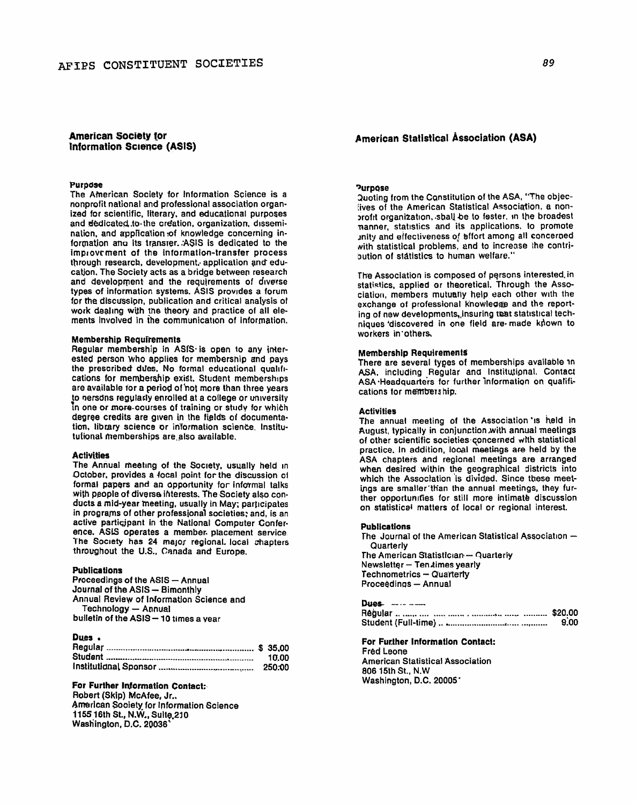# **American Society for Information Science (ASIS)**

### **Purpase**

The AMerican Society for Information Science is a nonprofit national and professional association organized for scientific, literary. and educational purposes and dedicated to the creation, organization, disseminalion, and application of knowledge concerning information **ana** its Iransrer.:ASIS is dedicated to the improvement of the information-transfer process through research, development, application and educatjon. The Society acts as a bridge between research and development and the requirements of diverse types **of** information systems. ASlS provldes a forum for the discussipn, publication and critical analysis of work dealing with the theory and practice of all elements involved in the communication of information.

### **Membership Requirements**

Regular membership in ASIS is open to any interested person who applies for membership and pays the prescribed dues. No formal educational qualifications for membership exist, Student memberships are available tor a period of not more than three years<br>to persons requiarly enrolled at a college or university In one or more-courses of training or study for which degree credits are given in the fields of documentation. library science or information science. Institutufional memberships are.also available.

#### **Activities**

The Annual meeting of the Society, usually held in October, provides a focal point for the discussion of formal papers and an Opportunity for informal talks with people of diverse interests. The Society also conducts a mid-year meeting, usually in May; participates in programs of other professional societies: and, is an active participant in the National Computer Conference. **AStS** operates a member. placement service The Society has 24 major regional. local chapters throughout the U.S., Canada **and** Europe.

#### **Publications**

Publications<br>Proceedings of the ASIS - Annual<br>Jerment ings of the ASIS **Proceedings of the ASIS - Annual<br>Journal of the ASIS - Bimonthly** Annual Review of Information Sc'ience and Technology - Annual bulletin of the **ASIS- 10** times a vear

# **DWS**

| Puca 6 |        |
|--------|--------|
|        |        |
|        | 10.00  |
|        | 250.00 |

## **For Further Information Contact:**

**Robert** (Skip) McAfee, Jr.. **American** Society for Information Science 1155 16th St., **N.W., Sulle,PIO**  Wesh'ington, **D.C. 20036'** 

# **American Statistical bssociation (ASA)**

# **'Jurpqse**

3uoting from the Cqnstitution of **the** ASA, "The objeclives of the American Statistical Association, a nonbrofit organization, shall be to fester, in the broadest nanner, statistics and its applications, to promote ~nity and eifectiveness **o,f** Bffort among all concerned with statistical problems, and to increase the contribution of statistics to human welfare."

The Association is composed of persons interested. in statistics, applied or theoretical. Through the Association, members mutually help each other with the exchange of professional knowledge and the reporting of new developments, insuring that statistical techniques 'discovered in one field are. made kdown to workers in'others,

# Membership **Requirement5**

There are several tyges of memberships available in **ASA,** including Regular and Institutignal. Contact ASA Headquarters for further information on qualifications for membership.

## Activities

The annual meeting of the Association 'is held in August, typically in conjunction with annual meetings of other scientific societies-concerned with statistical practice. In addition, looal meetings are held by the ASA chapters and regional meetings are arranged when desired within the geographical districts into which the Association 'is divided. Since these meetings are smaller'th'an the annual meetings, they further opportunrties for still more intimate discussion on statistical matters of local or regional interest.

## **Publications**

The Journal of the American Statistical Association  $-$ **Quarterly** The American Statistician - Quarterly The American Statistician -- Q<br>Newsletter -- Ten times yearly Newsletter -- Ten times year<br>Technometrics -- Quarterly Technometrics - Quarterly<br>Proceedings - Annual

| 9.00 |
|------|

**For Further lnformation Contact:**  Fred Leone American Statistical Association 806 15th St., N.W Washington, D.C. 20005'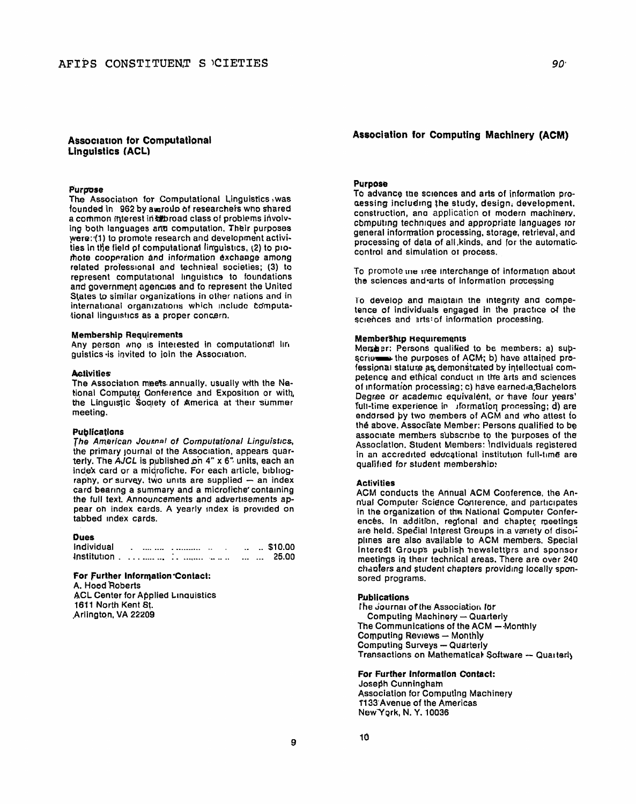# **Association for Computational Linguistics (ACL)**

## Purpose

The Association for Computational Linguistics was founded in 962 by awroub of researchers who shared a common interest in abroad class of problems involving both languages and computation. Their purposes were: (1) to promote research and development activities in the field of computational linguistics, (2) to promote cooperation and information exchange among related professional and technical societies; (3) to represent computational linguistics to foundations and government agencies and to represent the United States to similar organizations in other nations and in international organizations which include computational linguistics as a proper concern.

#### **Membership Requirements**

Any person who is interested in computational lin guistics is invited to join the Association.

### **Activities**

The Association meets annually, usually with the National Computer Conference and Exposition or with, the Linguistic Society of America at their summer meeting.

## **Publications**

The American Journal of Computational Linguistics, the primary journal of the Association, appears quarterly. The AJCL is published on 4" x 6" units, each an index card or a midrofiche. For each article, bibliography, or survey, two units are supplied  $-$  an index card bearing a summary and a microfiche containing the full text. Announcements and advertisements appear on index cards. A yearly index is provided on tabbed index cards.

## **Dues**

| Individual |  | <br>$\sim$ |  | $\ldots$ $\ldots$ \$10.00 |
|------------|--|------------|--|---------------------------|
|            |  |            |  | 25.00                     |

#### For Further Information Contact:

A. Hood Roberts **ACL Center for Applied Linquistics** 1611 North Kent St. Arlington, VA 22209

# **Association for Computing Machinery (ACM)**

## **Purpose**

To advance the sciences and arts of information proaessing including the study, design, development, construction, and application of modern machinery. computing techniques and appropriate languages for general information processing, storage, retrieval, and processing of data of all, kinds, and for the automaticcontrol and simulation or process.

To promote the tree interchange of information about the sciences and arts of information processing

To develop and maintain the integrity and competence of individuals engaged in the practice of the sciences and arts: of information processing.

## **Membership Requirements**

Member: Persons qualified to be members: a) supscrips the purposes of ACM; b) have attained professional stature as demonstrated by intellectual competence and ethical conduct in the arts and sciences of information processing; c) have earned a Bachelors Degree or academic equivalent, or have four years' full-time experience in iformation processing; d) are endorsed by two members of ACM and who attest to the above. Associate Member: Persons qualified to be associate members subscribe to the purposes of the Association, Student Members: Individuals registered in an accredited educational institution full-time are qualified for student membership:

### **Activities**

ACM conducts the Annual ACM Conference, the Annual Computer Science Conterence, and participates in the organization of the National Computer Conferences. In addition, regional and chapter meetings are held. Special Interest Groups in a variety of disoiplines are also available to ACM members. Special Interest Groups publish newsletters and sponsor meetings in their technical areas. There are over 240 chapters and student chapters providing locally sponsored programs.

#### **Publications**

The Journal of the Association for **Computing Machinery - Quarterly** The Communications of the ACM - Monthly Computing Reviews - Monthly **Computing Surveys - Quarterly** Transactions on Mathematical Software - Quarterly

# For Further Information Contact:

Joseph Cunningham **Association for Computing Machinery** 1133 Avenue of the Americas New York, N.Y. 10036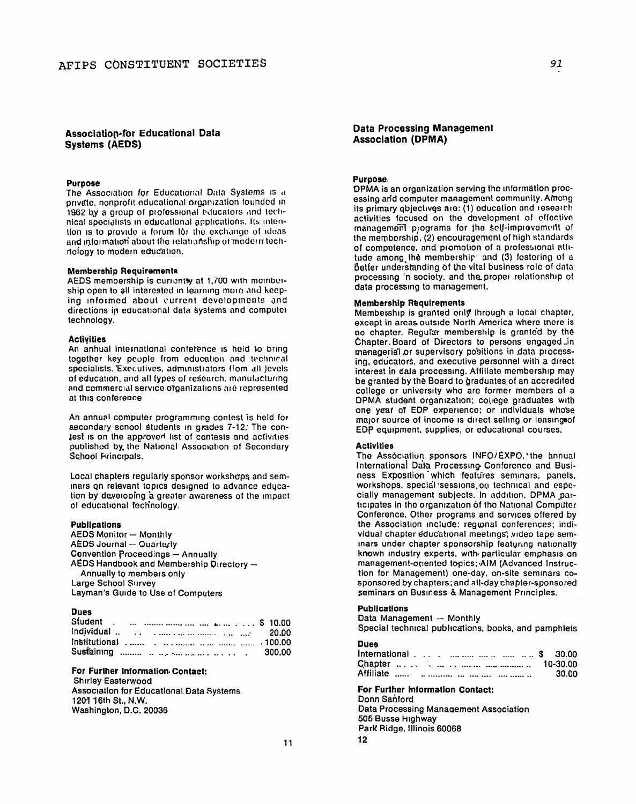# **Association-for Educational Data Systems (AEDS)**

## Purpose

The Association for Educational Data Systems is a private, nonprofit educational organization founded in 1962 by a group of professional educators and technical specialists in educational applications. Its intention is to provide a forum for the exchange of ideas and information about the relationship of modern technology to modern education.

## **Membership Requirements**

AEDS membership is currently at 1,700 with membership open to all interested in learning more and keeping informed about current developments and directions in educational data systems and compute) technology.

### **Activities**

An annual international conference is held to bring together key people from education and technical specialists. Executives, administrators from all Jevels of education, and all types of research, manufacturing and commercial service organizations are represented at this conference

An annual computer programming contest is held for secondary school students in grades 7-12. The conjest is on the approved list of contests and activities published by the National Association of Secondary School Frincipals.

Local chapters regularly sponsor workshops and seminars on relevant topics designed to advance education by developing a greater awareness of the impact of educational fechnology.

#### **Publications**

**AEDS Monitor - Monthly AEDS Journal - Quarterly Convention Proceedings - Annually** AEDS Handbook and Membership Directory -Annually to members only Large School Survey Layman's Guide to Use of Computers

## **Dues**

# For Further Information Contact:

**Shirley Easterwood Association for Educational Data Systems** 1201 16th St., N.W. Washington, D.C. 20036

# **Data Processing Management Association (DPMA)**

## Purpose.

DPMA is an organization serving the information processing and computer management community. Among its primary objectives are: (1) education and research activities focused on the development of effective management programs for the self-improvement of the membership, (2) encouragement of high standards of competence, and promotion of a professional attitude among the membership and (3) fostering of a Better understanding of the vital business role of data processing 'n society, and the proper relationship of data processing to management.

# **Membership Requirements**

Membership is granted only through a local chapter, except in areas outside North America where there is no chapter. Regular membership is granted by the Chapter Board of Directors to persons engaged ..in managerial or supervisory positions in data processing, educators, and executive personnel with a direct interest in data processing. Affiliate membership may be granted by the Board to graduates of an accredited college or university who are former members of a DPMA student organization; college graduates with one year of EDP experience; or individuals whose major source of income is direct selling or leasing of EDP equipment, supplies, or educational courses.

#### **Activities**

The Association sponsors INFO/EXPO, the annual International Data Processing Conference and Business Exposition which features seminars, panels, workshops, special sessions, on technical and especially management subjects. In addition, DPMA participates in the organization of the National Computer Conference, Other programs and services offered by the Association include: regional conferences; individual chapter educational meetings; video tape seminars under chapter sponsorship featuring nationally known industry experts, with particular emphasis on management-oriented topics; AIM (Advanced Instruction for Management) one-day, on-site seminars cosponsored by chapters; and all-day chapter-sponsored seminars on Business & Management Principles.

# **Publications**

Data Management - Monthly

Special technical publications, books, and pamphlets

**Dues** 

| International \$ 30.00 |          |
|------------------------|----------|
|                        | 10-30.00 |
|                        | 30.00    |

For Further Information Contact: Donn Sanford **Data Processing Management Association** 505 Busse Highway Park Ridge, Illinois 60068  $12$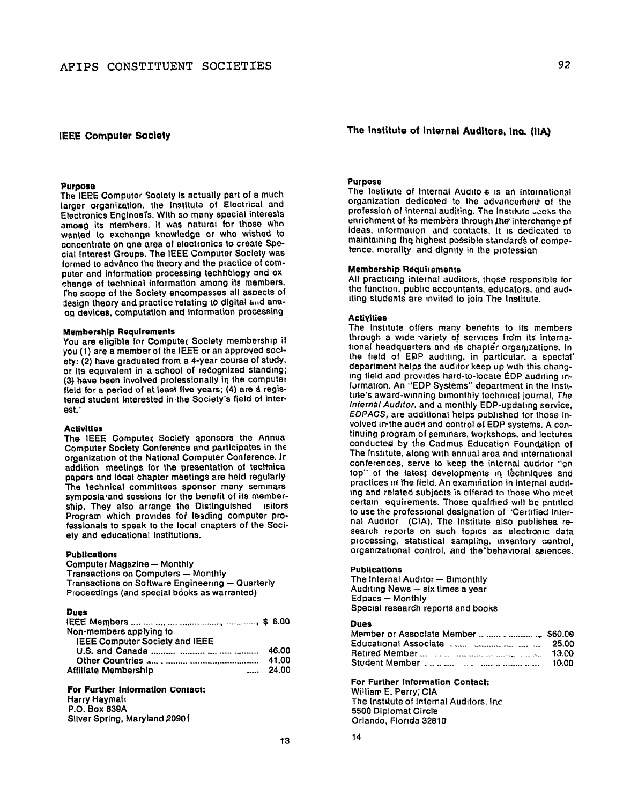## **IEEE Computer Society**

## Purpose

The IEEE Computer Society is actually part of a much larger organization, the Institute of Electrical and Electronics Engineers. With so many special interests among its members, it was natural for those who wanted to exchange knowledge or who wished to concentrate on one area of electronics to create Special Interest Groups. The IEEE Computer Society was formed to advance the theory and the practice of computer and information processing technology and exchange of technical information among its members. The scope of the Society encompasses all aspects of design theory and practice relating to digital and anaog devices, computation and information processing.

### **Membership Requirements**

You are eligible for Computer Society membership if you (1) are a member of the IEEE or an approved society: (2) have graduated from a 4-year course of study. or its equivalent in a school of recognized standing; (3) have been involved professionally in the computer field for a period of at least five years; (4) are a registered student interested in the Society's field of interest.'

#### **Activities**

The IEEE Computer Society sponsors the Annua Computer Society Conference and participates in the organization of the National Computer Conference. In addition meetings for the presentation of technical papers and local chapter meetings are held regularly The technical committees sponsor many seminars symposia and sessions for the benefit of its membership. They also arrange the Distinguished isitors Program which provides for leading computer professionals to speak to the local cnapters of the Society and educational institutions.

#### **Publications**

**Computer Magazine - Monthly** Transactions on Computers - Monthly Transactions on Software Engineering - Quarterly Proceedings (and special books as warranted)

## **Dues**

| Non-members applying to        |                   |
|--------------------------------|-------------------|
| IEEE Computer Society and IEEE |                   |
|                                | 46.00             |
|                                | 41.00             |
| <b>Affiliate Membership</b>    | $\frac{1}{24.00}$ |

# For Further Information Contact:

**Harry Haymah** P.O. Box 639A Silver Spring, Maryland 20901 The Institute of Internal Auditors, Inc. (IIA)

### Purpose

The Institute of Internal Audito s is an international organization dedicated to the advancement of the profession of internal auditing. The Institute Joeks the enrichment of its members through the interchange of ideas, information, and contacts, it is dedicated to maintaining the highest possible standards of competence, morality and dignity in the profession

## **Membership Requirements**

All practicing internal auditors, those responsible for the function, public accountants, educators, and auditing students are invited to join The Institute.

#### **Activities**

The institute offers many benefits to its members through a wide variety of services from its international headquarters and its chapter organizations. In the field of EDP auditing, in particular, a special department helps the auditor keep up with this changing field and provides hard-to-locate EDP auditing information. An "EDP Systems" department in the Institute's award-winning bimonthly technical journal, The Internal Auditor, and a monthly EDP-updating service. EDPACS, are additional helps published for those involved in the audit and control of EDP systems. A continuing program of seminars, workshops, and lectures conducted by the Cadmus Education Foundation of The Institute, along with annual area and international conferences, serve to keep the internal auditor "on top" of the latest developments in techniques and practices in the field. An examination in internal auditing and related subjects is offered to those who meet certain equirements. Those qualitied will be entitled to use the professional designation of 'Certified Internal Auditor (CIA). The institute also publishes research reports on such topics as electronic data processing, statistical sampling, inventory control, organizational control, and the behavioral sciences.

#### **Publications**

The Internal Auditor - Bimonthly Auditing News - six times a year Edpacs - Monthly Special research reports and books

#### Dues

14

|                 | 25.00 |
|-----------------|-------|
|                 | 13.00 |
| Student Member. | 10.00 |

#### For Further Information Contact:

William E. Perry; CIA The Institute of Internal Auditors. Inc. 5500 Diplomat Circle Orlando, Florida 32810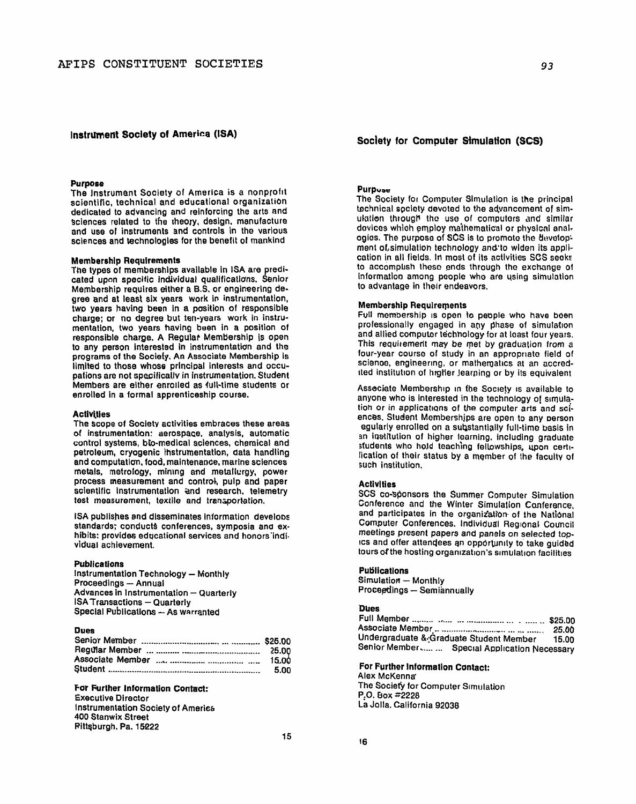## Instrument Society of America (ISA)

#### **Purpose**

The Instrument Society of America is a nonprofit scientific, technical and educational organization dedicated to advancing and reinforcing the arts and sciences related to the theory, design, manufacture and use of instruments and controls in the various sciences and technologies for the benefit of mankind

## **Membership Requirements**

The types of memberships available in ISA are predicated upon specific individual qualifications. Senior Membership requires either a B.S. or engineering degree and at least six years work in instrumentation, two years having been in a position of responsible charge; or no degree but ten-years work in instrumentation, two years having been in a position of responsible charge. A Regular Membership is open to any person interested in instrumentation and the programs of the Society. An Associate Membership is limited to those whose principal interests and occupations are not specifically in instrumentation. Student Members are either enrolled as full-time students or enrolled in a formal apprenticeship course.

### **Activities**

The scope of Society activities embraces these areas of instrumentation: aerospace, analysis, automatic control systems, bio-medical sciences, chemical and petroleum, cryogenic instrumentation, data handling and computation, food, maintenance, marine sciences metals, metrology, mining and metallurgy, power process measurement and control, pulp and paper scientific instrumentation and research, telemetry test measurement, textile and transportation.

ISA publishes and disseminates information develops standards; conducts conferences, symposia and exhibits: provides educational services and honors individual achievement.

### **Publications**

**Instrumentation Technology - Monthly** Proceedings - Annual Advances in Instrumentation - Quarterly **ISA Transactions - Quarterly** Special Publications - As warranted

# **Dues**

| 25.OQ |
|-------|
| -5.00 |
|       |

# For Further Information Contact:

**Executive Director Instrumentation Society of America 400 Stanwix Street** Rittsburgh. Pa. 15222

93

# Society for Computer Simulation (SCS)

## **Purpose**

The Society for Computer Simulation is the principal technical society devoted to the advancement of simulation through the use of computers and similar devices which employ mathematical or physical analogies. The purpose of SCS is to promote the development of simulation technology and to widen its application in all fields. In most of its activities SCS seeks to accomplish these ends through the exchange of information among people who are using simulation to advantage in their endeavors.

## **Membership Requirements**

Full membership is open to people who have been professionally engaged in any phase of simulation and allied computer technology for at least four years. This requirement may be met by graduation from a four-year course of study in an appropriate field of science, engineering, or mathematics at an accredited institution of higher learning or by its equivalent

Associate Membership in the Society is available to anyone who is interested in the technology of simulation or in applications of the computer arts and sciences. Student Memberships are open to any person equiarly enrolled on a substantially full-time basis in an institution of higher learning, including graduate students who hold teaching fellowships, upon certilication of their status by a member of the faculty of such institution.

## **Activities**

SCS co-sponsors the Summer Computer Simulation Conference and the Winter Simulation Conference. and participates in the organization of the National Computer Conferences. Individual Regional Council meetings present papers and panels on selected topics and offer attendees an opportunity to take guided tours of the hosting organization's simulation facilities

#### **Publications**

Simulation - Monthly Proceedings - Semiannually

# **Dues**

|                                               | 25.00 |
|-----------------------------------------------|-------|
| Undergraduate & Graduate Student Member       | 15.00 |
| Senior Member   Special Application Necessary |       |

# For Further Information Contact:

Alex McKenna<sup>®</sup> The Society for Computer Simulation P.O. Box #2228 La Jolla. California 92038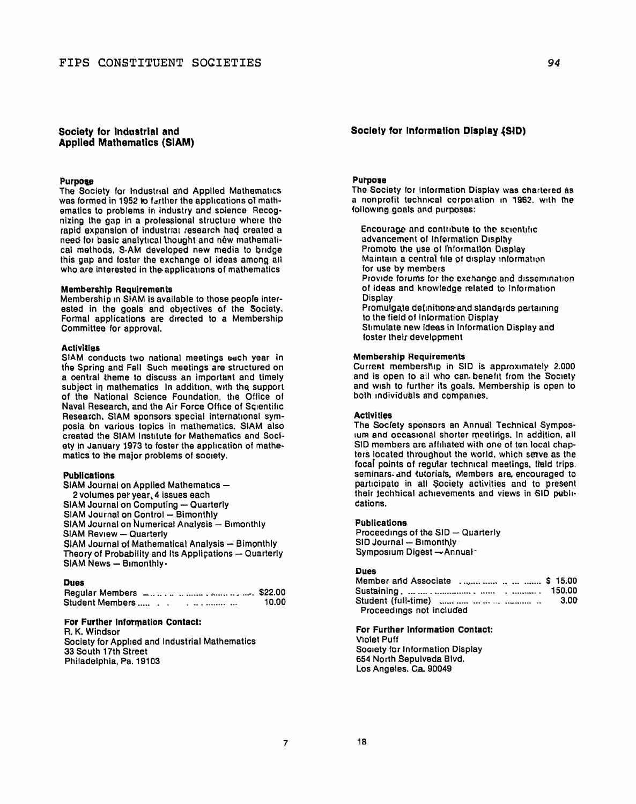# Society for Industrial and **Applied Mathematics (SIAM)**

## Purpose

The Society for Industrial and Applied Mathematics was formed in 1952 to further the applications of mathematics to problems in industry and science Recognizing the gap in a professional structure where the rapid expansion of industrial research had created a need for basic analytical thought and new mathematical methods, S-AM developed new media to bridge this gap and foster the exchange of ideas among all who are interested in the applications of mathematics

#### **Membership Requirements**

Membership in SIAM is available to those people interested in the goals and objectives of the Society. Formal applications are directed to a Membership Committee for approval.

#### **Activities**

SIAM conducts two national meetings each year in the Spring and Fall Such meetings are structured on a central theme to discuss an important and timely subject in mathematics In addition, with the support of the National Science Foundation, the Office of Naval Research, and the Air Force Office of Scientific Research, SIAM sponsors special international symposia on various topics in mathematics. SIAM also created the SIAM Institute for Mathematics and Society in January 1973 to foster the application of mathematics to the major problems of society.

# **Publications**

| SIAM Journal on Applied Mathematics -                  |
|--------------------------------------------------------|
| 2 volumes per year, 4 issues each                      |
| SIAM Journal on Computing - Quarterly                  |
| SIAM Journal on Control - Bimonthly                    |
| SIAM Journal on Numerical Analysis - Bimonthly         |
| <b>SIAM Review - Quarterly</b>                         |
| SIAM Journal of Mathematical Analysis - Bimonthly      |
| Theory of Probability and Its Applications - Quarterly |
| SIAM News - Bimonthly.                                 |

# **Dues**

| Student Members |  | 10.00 |
|-----------------|--|-------|

#### For Further Information Contact:

R. K. Windsor Society for Applied and Industrial Mathematics 33 South 17th Street Philadelphia, Pa. 19103

## Society for Information Display (SID)

#### **Purpose**

The Society for Information Display was chartered as a nonprofit technical corporation in 1962, with the following goals and purposes:

Encourage and contribute to the scientific advancement of Information Display Promote the use of Information Display Maintain a central file of display information for use by members Provide forums for the exchange and dissemination of ideas and knowledge related to information **Display** Promulgate definitions and standards pertaining to the field of Information Display Stimulate new ideas in Information Display and foster their development

## **Membership Requirements**

Current membership in SID is approximately 2.000 and is open to all who can benefit from the Society and wish to further its goals. Membership is open to both individuals and companies.

#### **Activities**

The Society sponsors an Annual Technical Symposium and occasional shorter meetings. In addition, all SID members are affiliated with one of ten local chapters located throughout the world, which serve as the focal points of regular technical meetings, field trips. seminars and tutorials, Members are encouraged to participate in all Society activities and to present their technical achievements and views in SID publications.

#### **Publications**

Proceedings of the SID - Quarterly SID Journal - Bimonthly Symposium Digest - Annual-

## **Dues**

| -----<br>Member and Associate     \$ 15.00       |       |
|--------------------------------------------------|-------|
|                                                  |       |
| Student (full-time) commences and containing and | -3.00 |
| Proceedings not included                         |       |

For Further Information Contact: Violet Puff Society for Information Display 654 North Sepulveda Blvd. Los Angeles, Ca. 90049

 $\overline{7}$